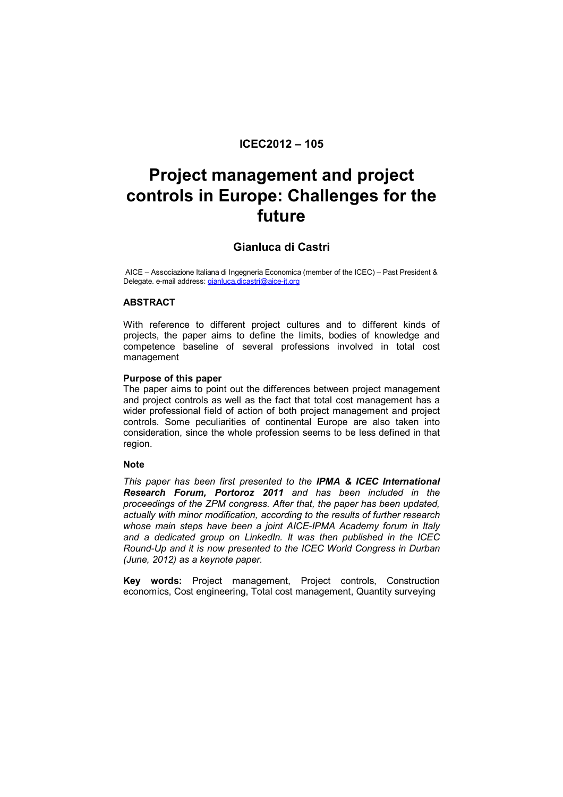# **ICEC2012 – 105**

# **Project management and project controls in Europe: Challenges for the future**

# **Gianluca di Castri**

AICE – Associazione Italiana di Ingegneria Economica (member of the ICEC) – Past President & Delegate. e-mail address: *gianluca.dicastri@aice-it.org* 

# **ABSTRACT**

With reference to different project cultures and to different kinds of projects, the paper aims to define the limits, bodies of knowledge and competence baseline of several professions involved in total cost management

#### **Purpose of this paper**

The paper aims to point out the differences between project management and project controls as well as the fact that total cost management has a wider professional field of action of both project management and project controls. Some peculiarities of continental Europe are also taken into consideration, since the whole profession seems to be less defined in that region.

#### **Note**

*This paper has been first presented to the IPMA & ICEC International Research Forum, Portoroz 2011 and has been included in the proceedings of the ZPM congress. After that, the paper has been updated, actually with minor modification, according to the results of further research whose main steps have been a joint AICE-IPMA Academy forum in Italy and a dedicated group on LinkedIn. It was then published in the ICEC Round-Up and it is now presented to the ICEC World Congress in Durban (June, 2012) as a keynote paper.* 

**Key words:** Project management, Project controls, Construction economics, Cost engineering, Total cost management, Quantity surveying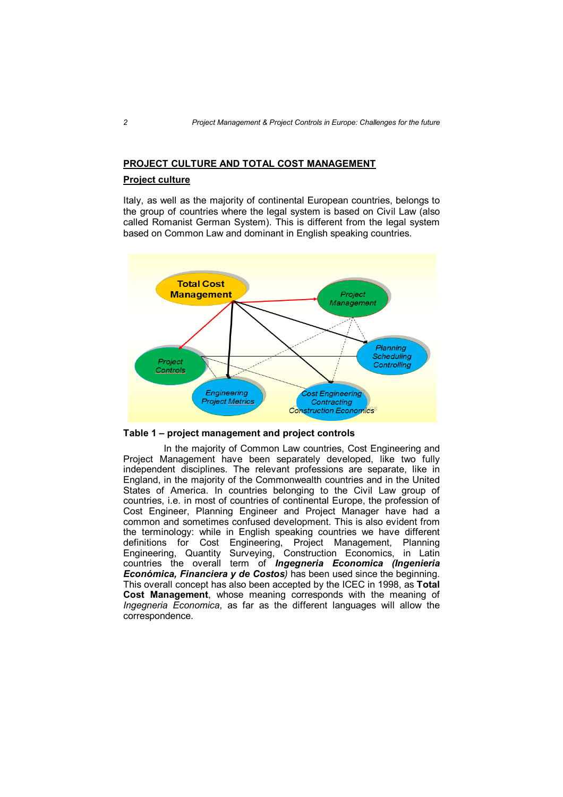# **PROJECT CULTURE AND TOTAL COST MANAGEMENT**

# **Project culture**

Italy, as well as the majority of continental European countries, belongs to the group of countries where the legal system is based on Civil Law (also called Romanist German System). This is different from the legal system based on Common Law and dominant in English speaking countries.



**Table 1 – project management and project controls**

 In the majority of Common Law countries, Cost Engineering and Project Management have been separately developed, like two fully independent disciplines. The relevant professions are separate, like in England, in the majority of the Commonwealth countries and in the United States of America. In countries belonging to the Civil Law group of countries, i.e. in most of countries of continental Europe, the profession of Cost Engineer, Planning Engineer and Project Manager have had a common and sometimes confused development. This is also evident from the terminology: while in English speaking countries we have different definitions for Cost Engineering, Project Management, Planning Engineering, Quantity Surveying, Construction Economics, in Latin countries the overall term of *Ingegneria Economica (Ingenieria Económica, Financiera y de Costos)* has been used since the beginning. This overall concept has also been accepted by the ICEC in 1998, as **Total Cost Management**, whose meaning corresponds with the meaning of *Ingegneria Economica*, as far as the different languages will allow the correspondence.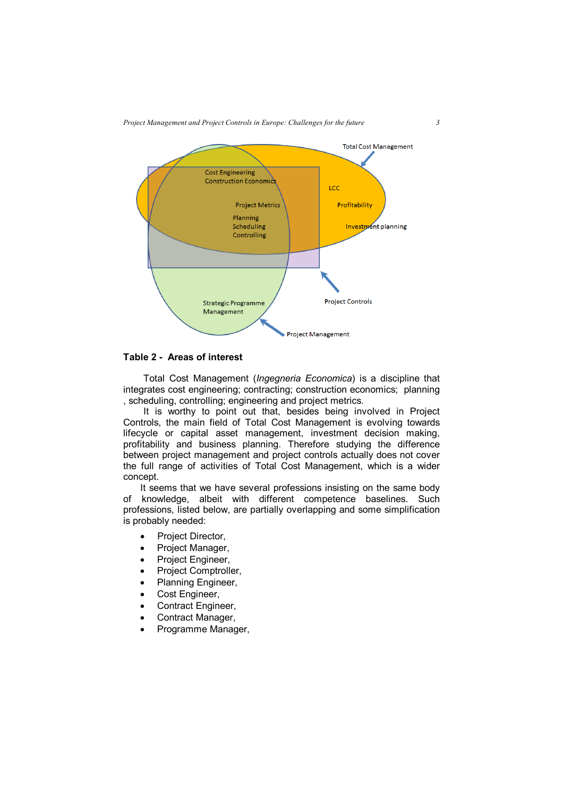

# **Table 2 - Areas of interest**

Total Cost Management (*Ingegneria Economica*) is a discipline that integrates cost engineering; contracting; construction economics; planning , scheduling, controlling; engineering and project metrics.

It is worthy to point out that, besides being involved in Project Controls, the main field of Total Cost Management is evolving towards lifecycle or capital asset management, investment decision making, profitability and business planning. Therefore studying the difference between project management and project controls actually does not cover the full range of activities of Total Cost Management, which is a wider concept.

It seems that we have several professions insisting on the same body of knowledge, albeit with different competence baselines. Such professions, listed below, are partially overlapping and some simplification is probably needed:

- Project Director.
- Project Manager,
- Project Engineer,
- Project Comptroller,
- Planning Engineer,
- Cost Engineer,
- Contract Engineer,
- Contract Manager,
- Programme Manager,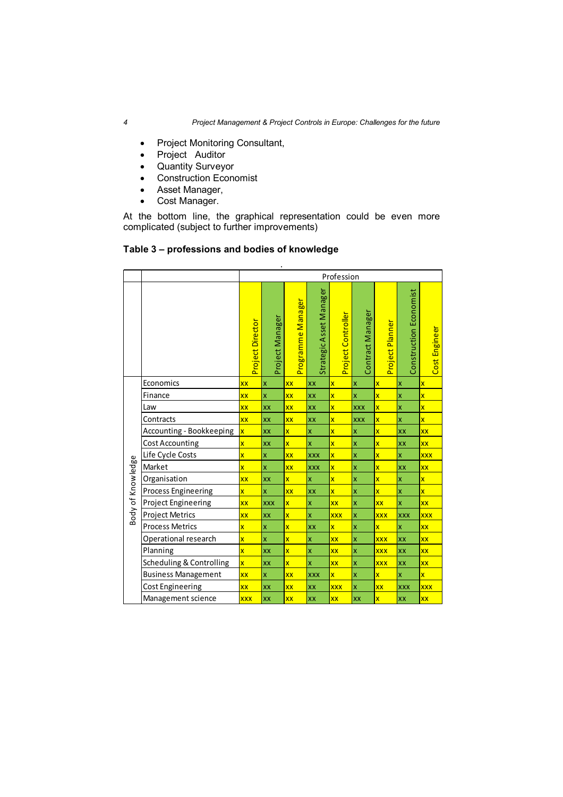- Project Monitoring Consultant,
- Project Auditor
- Quantity Surveyor
- Construction Economist
- Asset Manager,
- Cost Manager.

At the bottom line, the graphical representation could be even more complicated (subject to further improvements)

# **Table 3 – professions and bodies of knowledge**

|                   |                            | Profession               |                         |                         |                         |                         |                           |                         |                           |                          |
|-------------------|----------------------------|--------------------------|-------------------------|-------------------------|-------------------------|-------------------------|---------------------------|-------------------------|---------------------------|--------------------------|
|                   |                            | Project Director         | Project Manager         | Programme Manager       | Strategic Asset Manager | Project Controller      | Contract Manager          | Project Planner         | Construction Economist    | Cost Engineer            |
|                   | Economics                  | <b>XX</b>                | X                       | <b>XX</b>               | XX                      | $\overline{\mathsf{x}}$ | X                         | $\overline{\mathsf{x}}$ | X                         | $\overline{\mathsf{x}}$  |
|                   | Finance                    | <b>XX</b>                | $\overline{\mathbf{x}}$ | XX                      | XX                      | $\overline{\mathbf{x}}$ | $\overline{\mathsf{x}}$   | $\overline{\mathsf{x}}$ | $\boldsymbol{\mathsf{x}}$ | $\overline{\mathbf{x}}$  |
|                   | Law                        | <b>XX</b>                | XX                      | XX                      | XX                      | $\overline{\mathbf{x}}$ | <b>XXX</b>                | $\overline{\mathbf{x}}$ | $\boldsymbol{\mathsf{x}}$ | $\overline{\mathsf{x}}$  |
|                   | Contracts                  | <b>XX</b>                | XX                      | <b>XX</b>               | XX                      | $\overline{\mathbf{x}}$ | <b>XXX</b>                | $\overline{\mathsf{x}}$ | $\boldsymbol{\mathsf{x}}$ | $\overline{\mathbf{x}}$  |
|                   | Accounting - Bookkeeping   | $\overline{\mathsf{x}}$  | XX                      | $\overline{\mathsf{x}}$ | X                       | $\overline{\mathsf{x}}$ | X                         | $\overline{\mathsf{x}}$ | <b>XX</b>                 | XX                       |
|                   | Cost Accounting            | $\overline{\mathsf{x}}$  | XX                      | $\overline{\mathbf{x}}$ | $\overline{\mathsf{x}}$ | $\overline{\mathsf{x}}$ | X                         | $\overline{\mathsf{x}}$ | XX                        | <b>XX</b>                |
|                   | Life Cycle Costs           | $\overline{\mathbf{x}}$  | X                       | XX                      | <b>XXX</b>              | $\overline{\mathbf{x}}$ | $\boldsymbol{\mathsf{x}}$ | $\overline{\mathsf{x}}$ | $\boldsymbol{\mathsf{x}}$ | <b>XXX</b>               |
|                   | Market                     | $\overline{\mathsf{x}}$  | X                       | <b>XX</b>               | <b>XXX</b>              | $\overline{\mathsf{x}}$ | X                         | $\overline{\mathsf{x}}$ | <b>XX</b>                 | XX                       |
|                   | Organisation               | <b>XX</b>                | XX                      | $\overline{\mathsf{x}}$ | X                       | $\overline{\mathbf{x}}$ | X                         | $\overline{\mathbf{x}}$ | $\overline{\mathsf{x}}$   | $\overline{\mathsf{x}}$  |
|                   | <b>Process Engineering</b> | $\overline{\mathsf{x}}$  | X                       | XX                      | XX                      | $\overline{\mathsf{x}}$ | $\overline{\mathsf{x}}$   | $\overline{\mathsf{x}}$ | $\overline{\mathsf{x}}$   | $\overline{\mathsf{x}}$  |
|                   | <b>Project Engineering</b> | $\overline{\mathsf{xx}}$ | <b>XXX</b>              | $\overline{\mathsf{x}}$ | x                       | <b>XX</b>               | X                         | XX                      | $\overline{\mathbf{x}}$   | $\overline{\mathsf{xx}}$ |
| Body of Knowledge | <b>Project Metrics</b>     | <b>XX</b><br>XX          |                         | $\overline{\mathsf{x}}$ | x                       | <b>XXX</b>              | $\boldsymbol{\mathsf{x}}$ | <b>XXX</b>              | <b>XXX</b>                | <b>XXX</b>               |
|                   | <b>Process Metrics</b>     | $\overline{\mathbf{x}}$  | X                       | $\overline{\mathsf{x}}$ | XX                      | $\overline{\mathsf{x}}$ | X                         | $\overline{\mathsf{x}}$ | $\boldsymbol{\mathsf{x}}$ | <b>XX</b>                |
|                   | Operational research       | $\overline{\mathsf{x}}$  | $\overline{\mathsf{x}}$ | $\overline{\mathbf{x}}$ | x                       | XX                      | X                         | <b>XXX</b>              | XX                        | <b>XX</b>                |
|                   | Planning                   | $\overline{\mathsf{x}}$  | XX                      | $\overline{\mathsf{x}}$ | X                       | XX                      | $\boldsymbol{\mathsf{x}}$ | <b>XXX</b>              | <b>XX</b>                 | <b>XX</b>                |
|                   | Scheduling & Controlling   | $\overline{\mathbf{x}}$  | XX                      | $\overline{\mathsf{x}}$ | $\overline{\mathbf{x}}$ | <b>XX</b>               | X                         | <b>XXX</b>              | <b>XX</b>                 | XX                       |
|                   | <b>Business Management</b> | <b>XX</b>                | X                       | XX                      | XXX                     | $\overline{\mathbf{x}}$ | $\boldsymbol{\mathsf{x}}$ | $\overline{\mathsf{x}}$ | $\boldsymbol{\mathsf{x}}$ | x                        |
|                   | <b>Cost Engineering</b>    | <b>XX</b>                | XX                      | XX                      | XX                      | xxx                     | X                         | XX                      | <b>XXX</b>                | <b>XXX</b>               |
|                   | Management science         | <b>XXX</b>               | XX                      | <b>XX</b>               | XX                      | XX                      | XX                        | $\overline{\mathsf{x}}$ | <b>XX</b>                 | <b>XX</b>                |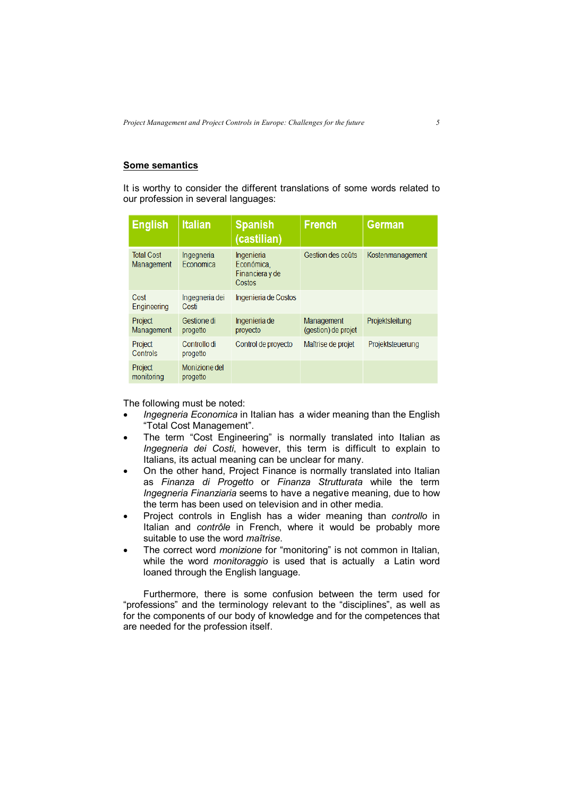# **Some semantics**

It is worthy to consider the different translations of some words related to our profession in several languages:

| <b>English</b>                  | <b>Italian</b>            | <b>Spanish</b><br>(castilian)                         | <b>French</b>                     | <b>German</b>    |
|---------------------------------|---------------------------|-------------------------------------------------------|-----------------------------------|------------------|
| <b>Total Cost</b><br>Management | Ingegneria<br>Economica   | Ingenieria<br>Económica.<br>Financiera y de<br>Costos | Gestion des coûts                 | Kostenmanagement |
| Cost<br>Engineering             | Ingegneria dei<br>Costi   | Ingenieria de Costos                                  |                                   |                  |
| Project<br>Management           | Gestione di<br>progetto   | Ingenieria de<br>proyecto                             | Management<br>(gestion) de projet | Projektsleitung  |
| Project<br><b>Controls</b>      | Controllo di<br>progetto  | Control de proyecto                                   | Maîtrise de projet                | Projektsteuerung |
| Project<br>monitoring           | Monizione del<br>progetto |                                                       |                                   |                  |

The following must be noted:

- *Ingegneria Economica* in Italian has a wider meaning than the English "Total Cost Management".
- The term "Cost Engineering" is normally translated into Italian as *Ingegneria dei Costi*, however, this term is difficult to explain to Italians, its actual meaning can be unclear for many.
- On the other hand, Project Finance is normally translated into Italian as *Finanza di Progetto* or *Finanza Strutturata* while the term *Ingegneria Finanziaria* seems to have a negative meaning, due to how the term has been used on television and in other media.
- Project controls in English has a wider meaning than *controllo* in Italian and *contrôle* in French, where it would be probably more suitable to use the word *maîtrise*.
- The correct word *monizione* for "monitoring" is not common in Italian, while the word *monitoraggio* is used that is actually a Latin word loaned through the English language.

Furthermore, there is some confusion between the term used for "professions" and the terminology relevant to the "disciplines", as well as for the components of our body of knowledge and for the competences that are needed for the profession itself.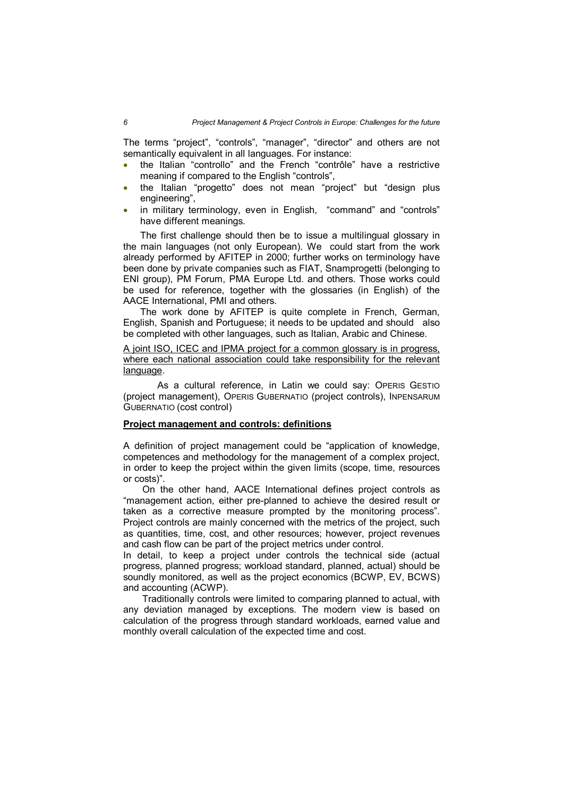The terms "project", "controls", "manager", "director" and others are not semantically equivalent in all languages. For instance:

- the Italian "controllo" and the French "contrôle" have a restrictive meaning if compared to the English "controls",
- the Italian "progetto" does not mean "project" but "design plus engineering",
- in military terminology, even in English, "command" and "controls" have different meanings.

The first challenge should then be to issue a multilingual glossary in the main languages (not only European). We could start from the work already performed by AFITEP in 2000; further works on terminology have been done by private companies such as FIAT, Snamprogetti (belonging to ENI group), PM Forum, PMA Europe Ltd. and others. Those works could be used for reference, together with the glossaries (in English) of the AACE International, PMI and others.

The work done by AFITEP is quite complete in French, German, English, Spanish and Portuguese; it needs to be updated and should also be completed with other languages, such as Italian, Arabic and Chinese.

A joint ISO, ICEC and IPMA project for a common glossary is in progress, where each national association could take responsibility for the relevant language.

As a cultural reference, in Latin we could say: OPERIS GESTIO (project management), OPERIS GUBERNATIO (project controls), INPENSARUM GUBERNATIO (cost control)

## **Project management and controls: definitions**

A definition of project management could be "application of knowledge, competences and methodology for the management of a complex project, in order to keep the project within the given limits (scope, time, resources or costs)".

 On the other hand, AACE International defines project controls as "management action, either pre-planned to achieve the desired result or taken as a corrective measure prompted by the monitoring process". Project controls are mainly concerned with the metrics of the project, such as quantities, time, cost, and other resources; however, project revenues and cash flow can be part of the project metrics under control.

In detail, to keep a project under controls the technical side (actual progress, planned progress; workload standard, planned, actual) should be soundly monitored, as well as the project economics (BCWP, EV, BCWS) and accounting (ACWP).

 Traditionally controls were limited to comparing planned to actual, with any deviation managed by exceptions. The modern view is based on calculation of the progress through standard workloads, earned value and monthly overall calculation of the expected time and cost.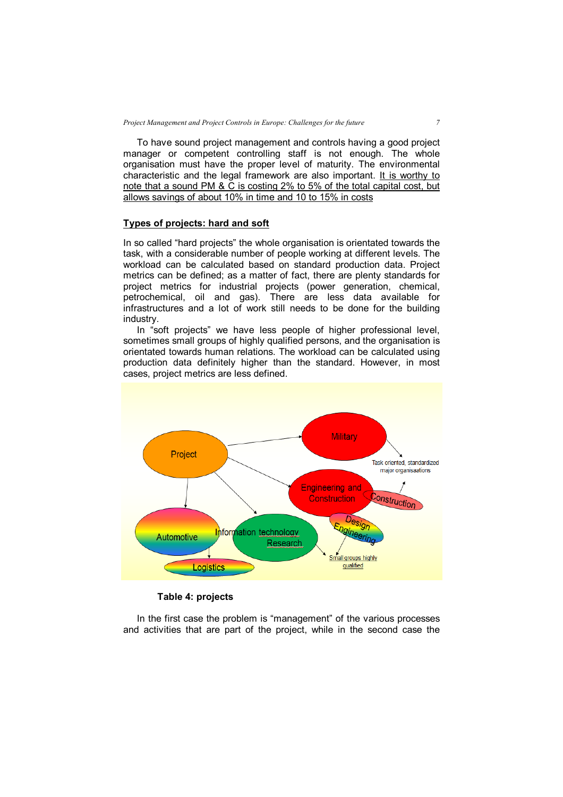To have sound project management and controls having a good project manager or competent controlling staff is not enough. The whole organisation must have the proper level of maturity. The environmental characteristic and the legal framework are also important. It is worthy to note that a sound PM & C is costing 2% to 5% of the total capital cost, but allows savings of about 10% in time and 10 to 15% in costs

#### **Types of projects: hard and soft**

In so called "hard projects" the whole organisation is orientated towards the task, with a considerable number of people working at different levels. The workload can be calculated based on standard production data. Project metrics can be defined; as a matter of fact, there are plenty standards for project metrics for industrial projects (power generation, chemical, petrochemical, oil and gas). There are less data available for infrastructures and a lot of work still needs to be done for the building industry.

 In "soft projects" we have less people of higher professional level, sometimes small groups of highly qualified persons, and the organisation is orientated towards human relations. The workload can be calculated using production data definitely higher than the standard. However, in most cases, project metrics are less defined.



**Table 4: projects**

 In the first case the problem is "management" of the various processes and activities that are part of the project, while in the second case the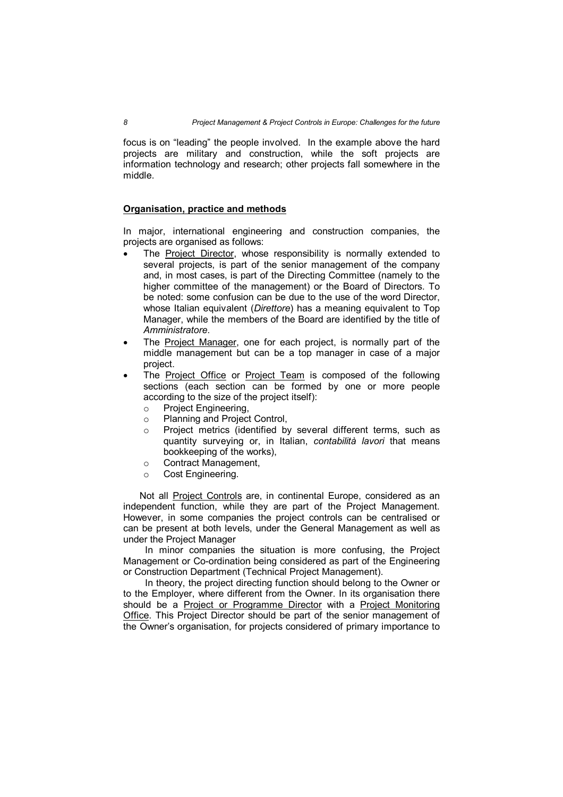focus is on "leading" the people involved. In the example above the hard projects are military and construction, while the soft projects are information technology and research; other projects fall somewhere in the middle.

#### **Organisation, practice and methods**

In major, international engineering and construction companies, the projects are organised as follows:

- The Project Director, whose responsibility is normally extended to several projects, is part of the senior management of the company and, in most cases, is part of the Directing Committee (namely to the higher committee of the management) or the Board of Directors. To be noted: some confusion can be due to the use of the word Director, whose Italian equivalent (*Direttore*) has a meaning equivalent to Top Manager, while the members of the Board are identified by the title of *Amministratore*.
- The Project Manager, one for each project, is normally part of the middle management but can be a top manager in case of a major project.
- The Project Office or Project Team is composed of the following sections (each section can be formed by one or more people according to the size of the project itself):
	- o Project Engineering,
	- o Planning and Project Control,
	- o Project metrics (identified by several different terms, such as quantity surveying or, in Italian, *contabilità lavori* that means bookkeeping of the works),
	- o Contract Management,
	- o Cost Engineering.

 Not all Project Controls are, in continental Europe, considered as an independent function, while they are part of the Project Management. However, in some companies the project controls can be centralised or can be present at both levels, under the General Management as well as under the Project Manager

 In minor companies the situation is more confusing, the Project Management or Co-ordination being considered as part of the Engineering or Construction Department (Technical Project Management).

 In theory, the project directing function should belong to the Owner or to the Employer, where different from the Owner. In its organisation there should be a Project or Programme Director with a Project Monitoring Office. This Project Director should be part of the senior management of the Owner's organisation, for projects considered of primary importance to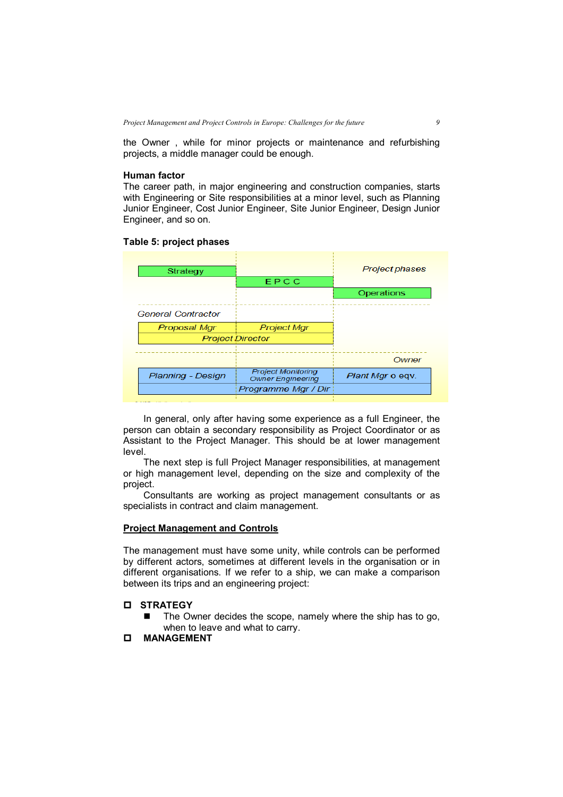the Owner , while for minor projects or maintenance and refurbishing projects, a middle manager could be enough.

### **Human factor**

The career path, in major engineering and construction companies, starts with Engineering or Site responsibilities at a minor level, such as Planning Junior Engineer, Cost Junior Engineer, Site Junior Engineer, Design Junior Engineer, and so on.

#### **Table 5: project phases**

| Strategy                  | EPCC                                                  | <b>Project phases</b> |
|---------------------------|-------------------------------------------------------|-----------------------|
|                           |                                                       | Operations            |
| <b>General Contractor</b> |                                                       |                       |
| Proposal Mgr              | <b>Project Mgr</b>                                    |                       |
|                           | <b>Project Director</b>                               |                       |
|                           |                                                       | Owner                 |
| Planning - Design         | <b>Project Monitoring</b><br><b>Owner Engineering</b> | Plant Mgr o egy.      |
|                           | Programme Mgr / Dir                                   |                       |

In general, only after having some experience as a full Engineer, the person can obtain a secondary responsibility as Project Coordinator or as Assistant to the Project Manager. This should be at lower management level.

The next step is full Project Manager responsibilities, at management or high management level, depending on the size and complexity of the project.

Consultants are working as project management consultants or as specialists in contract and claim management.

## **Project Management and Controls**

The management must have some unity, while controls can be performed by different actors, sometimes at different levels in the organisation or in different organisations. If we refer to a ship, we can make a comparison between its trips and an engineering project:

## **STRATEGY**

 $\blacksquare$  The Owner decides the scope, namely where the ship has to go, when to leave and what to carry.

# **MANAGEMENT**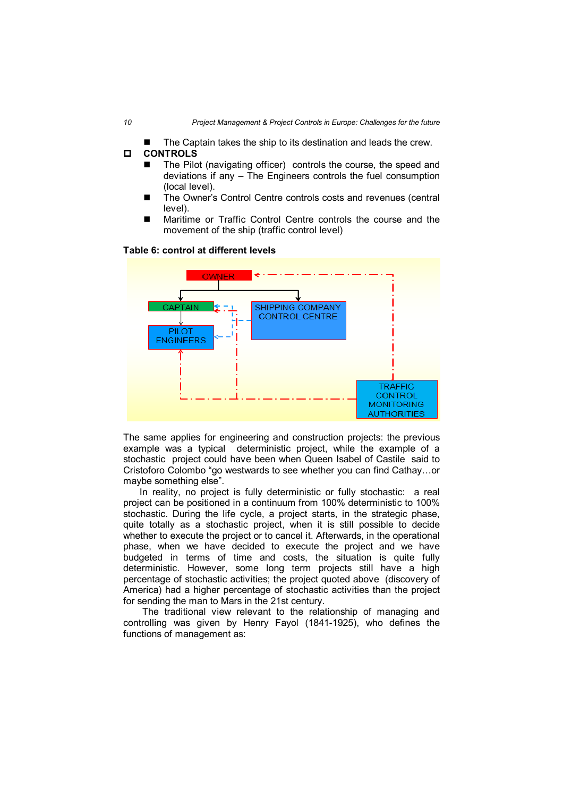The Captain takes the ship to its destination and leads the crew.

## **CONTROLS**

- The Pilot (navigating officer) controls the course, the speed and deviations if any – The Engineers controls the fuel consumption (local level).
- The Owner's Control Centre controls costs and revenues (central level).
- Maritime or Traffic Control Centre controls the course and the movement of the ship (traffic control level)

#### **Table 6: control at different levels**



The same applies for engineering and construction projects: the previous example was a typical deterministic project, while the example of a stochastic project could have been when Queen Isabel of Castile said to Cristoforo Colombo "go westwards to see whether you can find Cathay…or maybe something else".

 In reality, no project is fully deterministic or fully stochastic: a real project can be positioned in a continuum from 100% deterministic to 100% stochastic. During the life cycle, a project starts, in the strategic phase, quite totally as a stochastic project, when it is still possible to decide whether to execute the project or to cancel it. Afterwards, in the operational phase, when we have decided to execute the project and we have budgeted in terms of time and costs, the situation is quite fully deterministic. However, some long term projects still have a high percentage of stochastic activities; the project quoted above (discovery of America) had a higher percentage of stochastic activities than the project for sending the man to Mars in the 21st century.

 The traditional view relevant to the relationship of managing and controlling was given by Henry Fayol (1841-1925), who defines the functions of management as: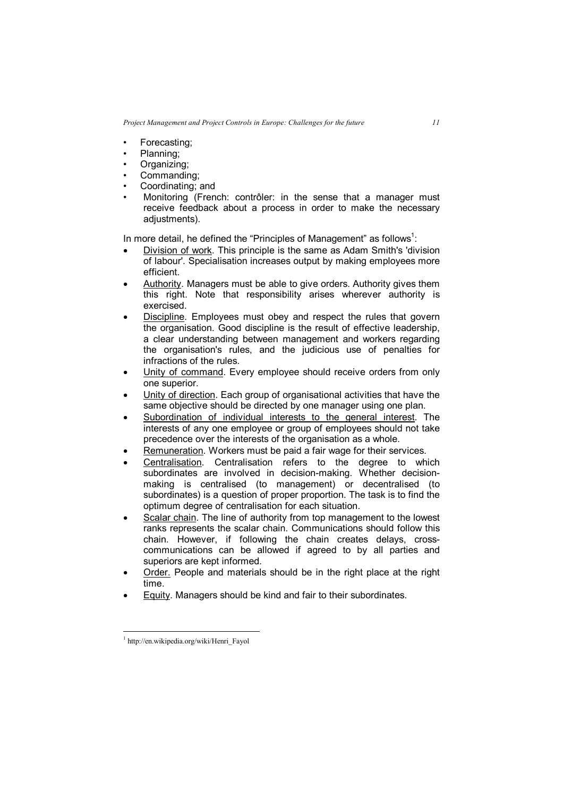- Forecasting;
- Planning:
- Organizing;
- Commanding:
- Coordinating; and
- Monitoring (French: contrôler: in the sense that a manager must receive feedback about a process in order to make the necessary adjustments).

In more detail, he defined the "Principles of Management" as follows $^1$ :

- Division of work. This principle is the same as Adam Smith's 'division of labour'. Specialisation increases output by making employees more efficient.
- Authority. Managers must be able to give orders. Authority gives them this right. Note that responsibility arises wherever authority is exercised.
- Discipline. Employees must obey and respect the rules that govern the organisation. Good discipline is the result of effective leadership, a clear understanding between management and workers regarding the organisation's rules, and the judicious use of penalties for infractions of the rules.
- Unity of command. Every employee should receive orders from only one superior.
- Unity of direction. Each group of organisational activities that have the same objective should be directed by one manager using one plan.
- Subordination of individual interests to the general interest. The interests of any one employee or group of employees should not take precedence over the interests of the organisation as a whole.
- Remuneration. Workers must be paid a fair wage for their services.
- Centralisation. Centralisation refers to the degree to which subordinates are involved in decision-making. Whether decisionmaking is centralised (to management) or decentralised (to subordinates) is a question of proper proportion. The task is to find the optimum degree of centralisation for each situation.
- Scalar chain. The line of authority from top management to the lowest ranks represents the scalar chain. Communications should follow this chain. However, if following the chain creates delays, crosscommunications can be allowed if agreed to by all parties and superiors are kept informed.
- Order. People and materials should be in the right place at the right time.
- Equity. Managers should be kind and fair to their subordinates.

 $\overline{a}$ 

<sup>1</sup> http://en.wikipedia.org/wiki/Henri\_Fayol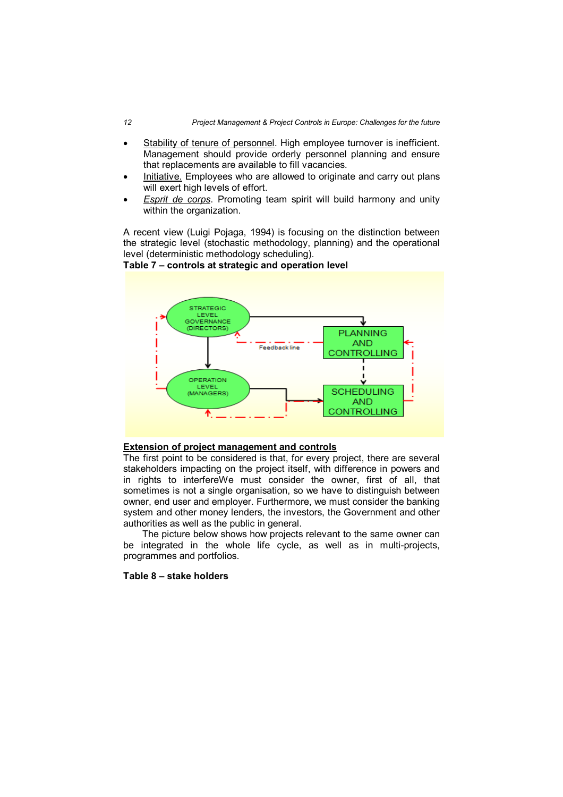- Stability of tenure of personnel. High employee turnover is inefficient. Management should provide orderly personnel planning and ensure that replacements are available to fill vacancies.
- Initiative. Employees who are allowed to originate and carry out plans will exert high levels of effort.
- *Esprit de corps*. Promoting team spirit will build harmony and unity within the organization.

A recent view (Luigi Pojaga, 1994) is focusing on the distinction between the strategic level (stochastic methodology, planning) and the operational level (deterministic methodology scheduling).



# **Table 7 – controls at strategic and operation level**

# **Extension of project management and controls**

The first point to be considered is that, for every project, there are several stakeholders impacting on the project itself, with difference in powers and in rights to interfereWe must consider the owner, first of all, that sometimes is not a single organisation, so we have to distinguish between owner, end user and employer. Furthermore, we must consider the banking system and other money lenders, the investors, the Government and other authorities as well as the public in general.

 The picture below shows how projects relevant to the same owner can be integrated in the whole life cycle, as well as in multi-projects, programmes and portfolios.

### **Table 8 – stake holders**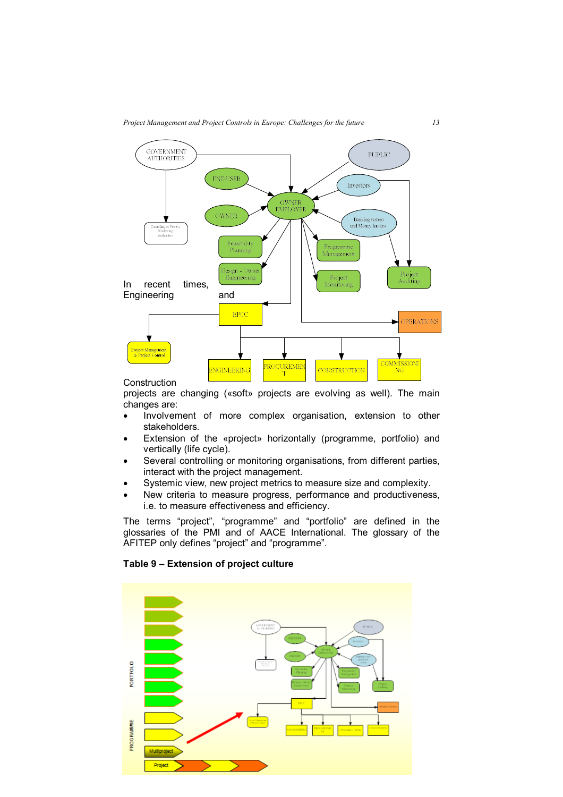

**Construction** 

projects are changing («soft» projects are evolving as well). The main changes are:

- Involvement of more complex organisation, extension to other stakeholders.
- Extension of the «project» horizontally (programme, portfolio) and vertically (life cycle).
- Several controlling or monitoring organisations, from different parties, interact with the project management.
- Systemic view, new project metrics to measure size and complexity.
- New criteria to measure progress, performance and productiveness, i.e. to measure effectiveness and efficiency.

The terms "project", "programme" and "portfolio" are defined in the glossaries of the PMI and of AACE International. The glossary of the AFITEP only defines "project" and "programme".

# **Table 9 – Extension of project culture**

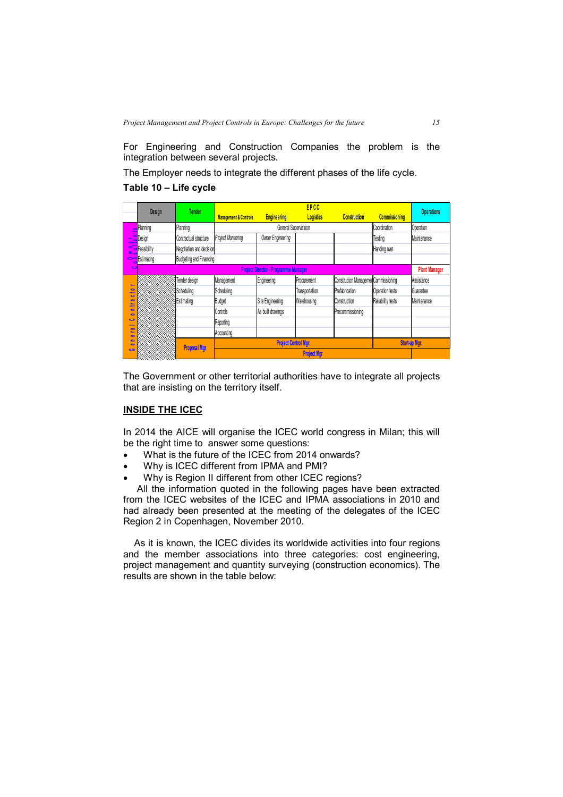For Engineering and Construction Companies the problem is the integration between several projects.

The Employer needs to integrate the different phases of the life cycle.

## **Table 10 – Life cycle**

|                                            |                   | <b>Tender</b>            | <b>EPCC</b>                                 |                             |                    |                                     |                        |                      |
|--------------------------------------------|-------------------|--------------------------|---------------------------------------------|-----------------------------|--------------------|-------------------------------------|------------------------|----------------------|
|                                            | Design            |                          | <b>Management &amp; Controls</b>            | <b>Engineering</b>          | <b>Logistics</b>   | <b>Construction</b>                 | <b>Commissioning</b>   | <b>Operations</b>    |
|                                            | Planning          | Planning                 |                                             | General Supervizsion        |                    |                                     | Coordination           | Operation            |
|                                            | <b>___</b> Design | Contractual structure    | Project Monitoring                          | Owner Engineering           |                    |                                     | Testing                | Maintenance          |
| ≥.,                                        | Feasibility       | Negotiation and decision |                                             |                             |                    |                                     | Handing over           |                      |
|                                            | Stimating         | Budgeting and Financing  |                                             |                             |                    |                                     |                        |                      |
| c                                          |                   |                          | <b>Project Director - Programme Manager</b> |                             |                    |                                     |                        | <b>Plant Manager</b> |
|                                            |                   | Tender design            | Management                                  | Engineering                 | Procurement        | Construcion Managemen Commissioning |                        | Assistance           |
| $\bullet$<br>مسود                          |                   | Scheduling               | Scheduling                                  |                             | Transportation     | Prefabrication                      | <b>Operation tests</b> | Guarantee            |
| ت<br>$\overline{\mathbf{c}}$<br>s.<br>ت    |                   | <b>Estimating</b>        | <b>Budget</b>                               | Site Engineering            | Warehousing        | Construction                        | Reliability tests      | Maintenance          |
| $=$<br>$\bullet$                           |                   |                          | Controls                                    | As built drawings           |                    | Precommissioning                    |                        |                      |
| $\ddot{\phantom{1}}$                       |                   |                          | Reporting                                   |                             |                    |                                     |                        |                      |
| $\overline{\mathbf{c}}$<br>s.<br>$\bullet$ |                   |                          | Accounting                                  |                             |                    |                                     |                        |                      |
| $\blacksquare$<br>$\bullet$                |                   |                          |                                             | <b>Project Control Mgr.</b> |                    |                                     | Start-up Mgr.          |                      |
| ဇ                                          |                   | <b>Proposal Mgr</b>      |                                             |                             | <b>Project Mar</b> |                                     |                        |                      |

The Government or other territorial authorities have to integrate all projects that are insisting on the territory itself.

# **INSIDE THE ICEC**

In 2014 the AICE will organise the ICEC world congress in Milan; this will be the right time to answer some questions:

- What is the future of the ICEC from 2014 onwards?
- Why is ICEC different from IPMA and PMI?
- Why is Region II different from other ICEC regions?

 All the information quoted in the following pages have been extracted from the ICEC websites of the ICEC and IPMA associations in 2010 and had already been presented at the meeting of the delegates of the ICEC Region 2 in Copenhagen, November 2010.

 As it is known, the ICEC divides its worldwide activities into four regions and the member associations into three categories: cost engineering, project management and quantity surveying (construction economics). The results are shown in the table below: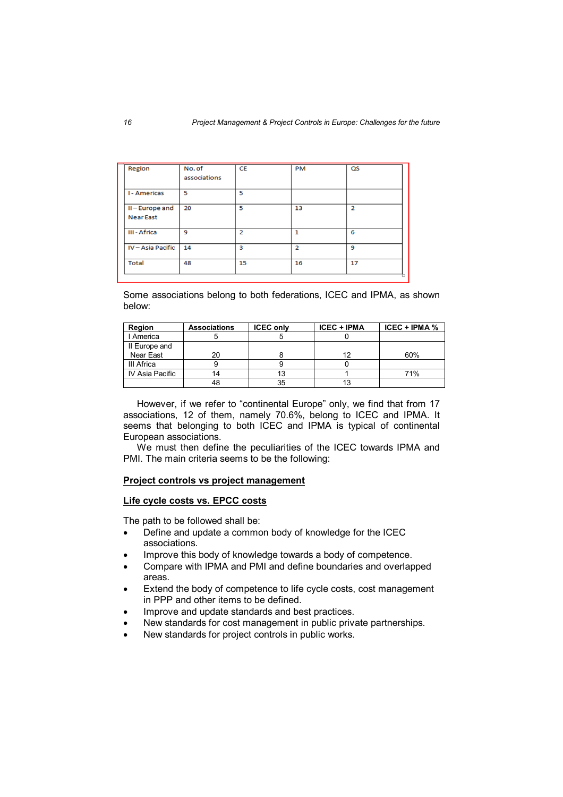| Region            | No. of<br>associations | <b>CE</b>      | PM             | QS             |
|-------------------|------------------------|----------------|----------------|----------------|
|                   |                        |                |                |                |
| <b>I-Americas</b> | 5                      | 5              |                |                |
| II-Europe and     | 20                     | 5              | 13             | $\overline{2}$ |
| <b>Near East</b>  |                        |                |                |                |
| III - Africa      | 9                      | $\overline{2}$ |                | 6              |
| IV-Asia Pacific   | 14                     | 3              | $\overline{2}$ | 9              |
| <b>Total</b>      | 48                     | 15             | 16             | 17             |

Some associations belong to both federations, ICEC and IPMA, as shown below:

| Region          | <b>Associations</b> | <b>ICEC only</b> | <b>ICEC + IPMA</b> | $ICEC + IPMA %$ |
|-----------------|---------------------|------------------|--------------------|-----------------|
| I America       |                     |                  |                    |                 |
| II Europe and   |                     |                  |                    |                 |
| Near East       | 20                  |                  | 12                 | 60%             |
| III Africa      |                     |                  |                    |                 |
| IV Asia Pacific |                     |                  |                    | 71%             |
|                 | 48                  | 35               |                    |                 |

 However, if we refer to "continental Europe" only, we find that from 17 associations, 12 of them, namely 70.6%, belong to ICEC and IPMA. It seems that belonging to both ICEC and IPMA is typical of continental European associations.

 We must then define the peculiarities of the ICEC towards IPMA and PMI. The main criteria seems to be the following:

## **Project controls vs project management**

## **Life cycle costs vs. EPCC costs**

The path to be followed shall be:

- Define and update a common body of knowledge for the ICEC associations.
- Improve this body of knowledge towards a body of competence.
- Compare with IPMA and PMI and define boundaries and overlapped areas.
- Extend the body of competence to life cycle costs, cost management in PPP and other items to be defined.
- Improve and update standards and best practices.
- New standards for cost management in public private partnerships.
- New standards for project controls in public works.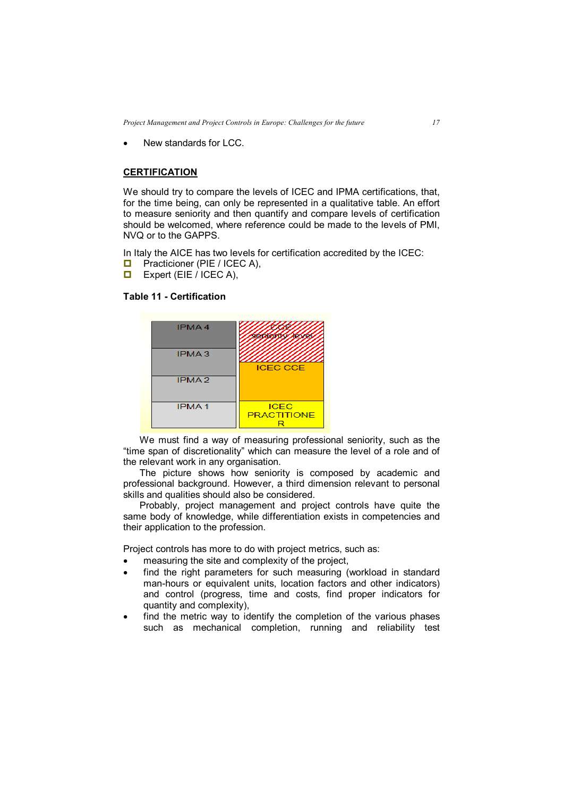New standards for LCC.

# **CERTIFICATION**

We should try to compare the levels of ICEC and IPMA certifications, that, for the time being, can only be represented in a qualitative table. An effort to measure seniority and then quantify and compare levels of certification should be welcomed, where reference could be made to the levels of PMI, NVQ or to the GAPPS.

In Italy the AICE has two levels for certification accredited by the ICEC:

- **D** Practicioner (PIE / ICEC A),<br>**D** Expert (EIE / ICEC A).
- Expert (EIE / ICEC A),

# **Table 11 - Certification**



 We must find a way of measuring professional seniority, such as the "time span of discretionality" which can measure the level of a role and of the relevant work in any organisation.

 The picture shows how seniority is composed by academic and professional background. However, a third dimension relevant to personal skills and qualities should also be considered.

 Probably, project management and project controls have quite the same body of knowledge, while differentiation exists in competencies and their application to the profession.

Project controls has more to do with project metrics, such as:

- measuring the site and complexity of the project,
- find the right parameters for such measuring (workload in standard man-hours or equivalent units, location factors and other indicators) and control (progress, time and costs, find proper indicators for quantity and complexity),
- find the metric way to identify the completion of the various phases such as mechanical completion, running and reliability test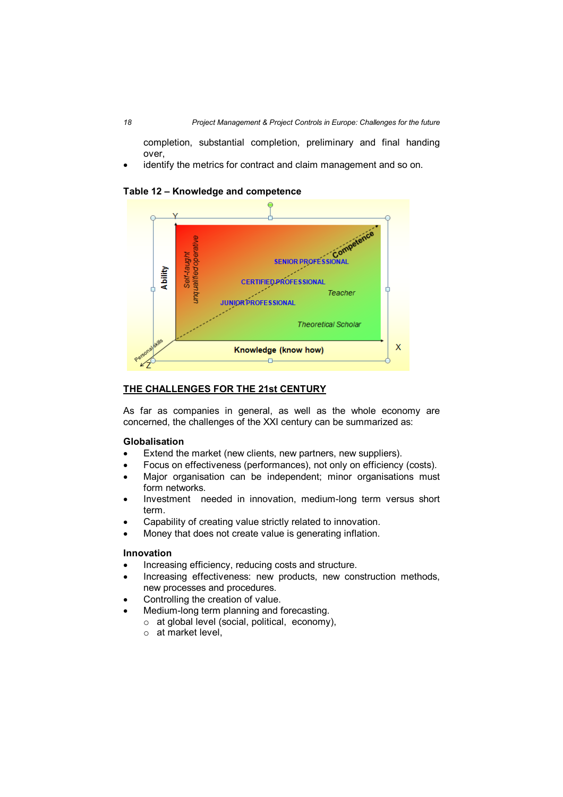completion, substantial completion, preliminary and final handing over,

identify the metrics for contract and claim management and so on.



# **Table 12 – Knowledge and competence**

# **THE CHALLENGES FOR THE 21st CENTURY**

As far as companies in general, as well as the whole economy are concerned, the challenges of the XXI century can be summarized as:

## **Globalisation**

- Extend the market (new clients, new partners, new suppliers).
- Focus on effectiveness (performances), not only on efficiency (costs).
- Major organisation can be independent; minor organisations must form networks.
- Investment needed in innovation, medium-long term versus short term.
- Capability of creating value strictly related to innovation.
- Money that does not create value is generating inflation.

## **Innovation**

- Increasing efficiency, reducing costs and structure.
- Increasing effectiveness: new products, new construction methods, new processes and procedures.
- Controlling the creation of value.
	- Medium-long term planning and forecasting.
		- o at global level (social, political, economy),
		- o at market level,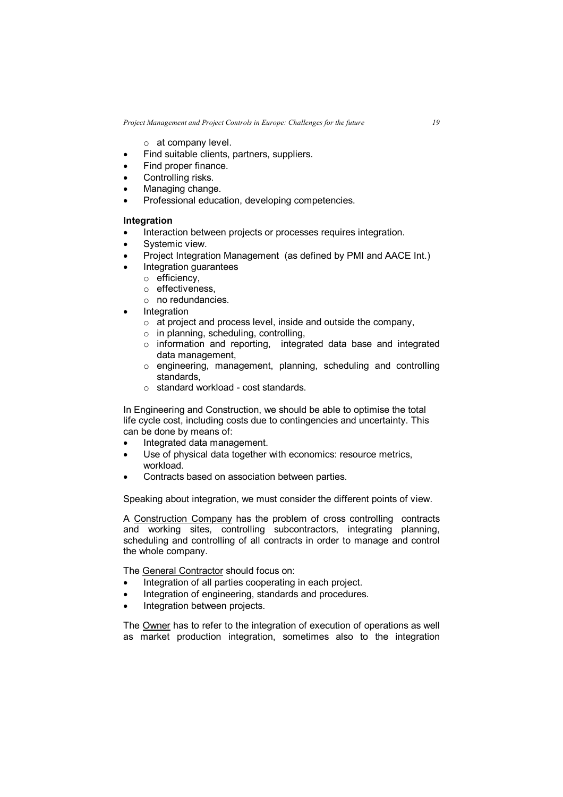$\circ$  at company level.

- Find suitable clients, partners, suppliers.
- Find proper finance.
- Controlling risks.
- Managing change.
- Professional education, developing competencies.

# **Integration**

- Interaction between projects or processes requires integration.
- Systemic view.
- Project Integration Management (as defined by PMI and AACE Int.)
- Integration guarantees
	- o efficiency,
	- o effectiveness,
	- o no redundancies.
- **Integration** 
	- o at project and process level, inside and outside the company,
	- o in planning, scheduling, controlling,
	- o information and reporting, integrated data base and integrated data management,
	- o engineering, management, planning, scheduling and controlling standards,
	- o standard workload cost standards.

In Engineering and Construction, we should be able to optimise the total life cycle cost, including costs due to contingencies and uncertainty. This can be done by means of:

- Integrated data management.
- Use of physical data together with economics: resource metrics, workload.
- Contracts based on association between parties.

Speaking about integration, we must consider the different points of view.

A Construction Company has the problem of cross controlling contracts and working sites, controlling subcontractors, integrating planning, scheduling and controlling of all contracts in order to manage and control the whole company.

The General Contractor should focus on:

- Integration of all parties cooperating in each project.
- Integration of engineering, standards and procedures.
- Integration between projects.

The Owner has to refer to the integration of execution of operations as well as market production integration, sometimes also to the integration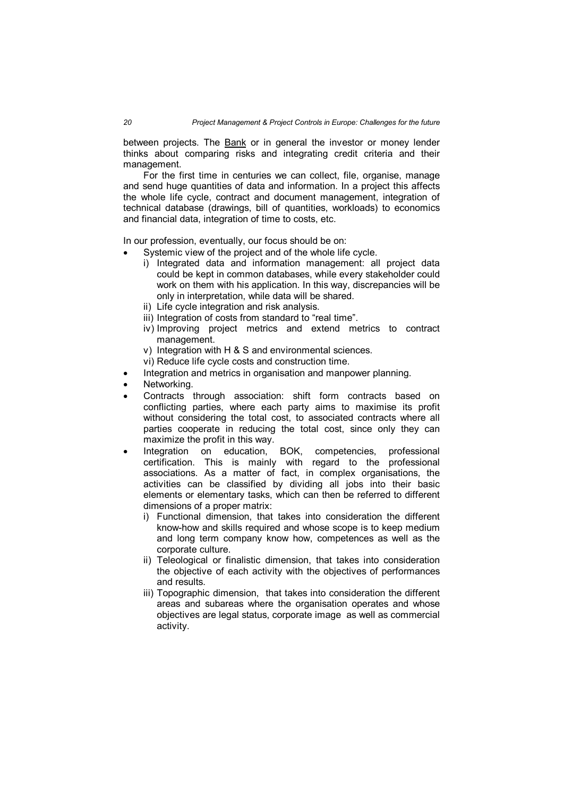between projects. The Bank or in general the investor or money lender thinks about comparing risks and integrating credit criteria and their management.

For the first time in centuries we can collect, file, organise, manage and send huge quantities of data and information. In a project this affects the whole life cycle, contract and document management, integration of technical database (drawings, bill of quantities, workloads) to economics and financial data, integration of time to costs, etc.

In our profession, eventually, our focus should be on:

- Systemic view of the project and of the whole life cycle.
	- i) Integrated data and information management: all project data could be kept in common databases, while every stakeholder could work on them with his application. In this way, discrepancies will be only in interpretation, while data will be shared.
	- ii) Life cycle integration and risk analysis.
	- iii) Integration of costs from standard to "real time".
	- iv) Improving project metrics and extend metrics to contract management.
	- v) Integration with H & S and environmental sciences.
	- vi) Reduce life cycle costs and construction time.
- Integration and metrics in organisation and manpower planning.
- Networking.
- Contracts through association: shift form contracts based on conflicting parties, where each party aims to maximise its profit without considering the total cost, to associated contracts where all parties cooperate in reducing the total cost, since only they can maximize the profit in this way.
- Integration on education, BOK, competencies, professional certification. This is mainly with regard to the professional associations. As a matter of fact, in complex organisations, the activities can be classified by dividing all jobs into their basic elements or elementary tasks, which can then be referred to different dimensions of a proper matrix:
	- i) Functional dimension, that takes into consideration the different know-how and skills required and whose scope is to keep medium and long term company know how, competences as well as the corporate culture.
	- ii) Teleological or finalistic dimension, that takes into consideration the objective of each activity with the objectives of performances and results.
	- iii) Topographic dimension, that takes into consideration the different areas and subareas where the organisation operates and whose objectives are legal status, corporate image as well as commercial activity.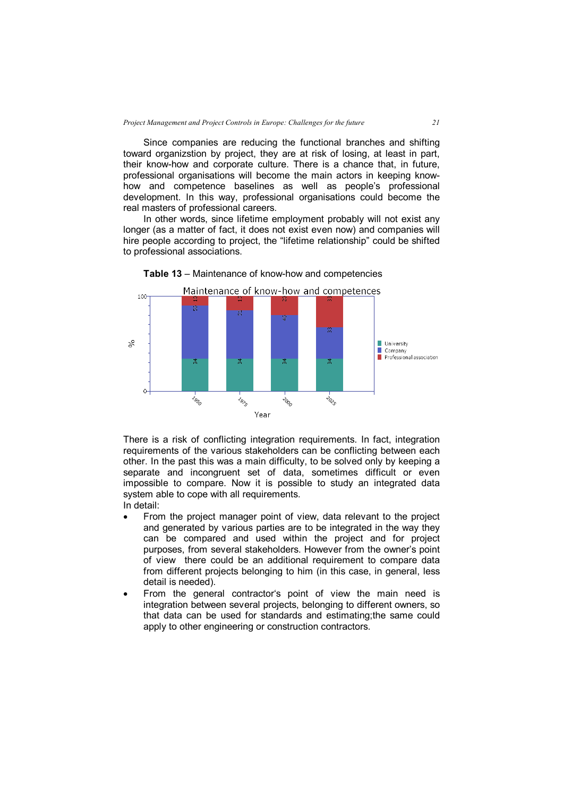Since companies are reducing the functional branches and shifting toward organizstion by project, they are at risk of losing, at least in part, their know-how and corporate culture. There is a chance that, in future, professional organisations will become the main actors in keeping knowhow and competence baselines as well as people's professional development. In this way, professional organisations could become the real masters of professional careers.

In other words, since lifetime employment probably will not exist any longer (as a matter of fact, it does not exist even now) and companies will hire people according to project, the "lifetime relationship" could be shifted to professional associations.



**Table 13** – Maintenance of know-how and competencies

There is a risk of conflicting integration requirements. In fact, integration requirements of the various stakeholders can be conflicting between each other. In the past this was a main difficulty, to be solved only by keeping a separate and incongruent set of data, sometimes difficult or even impossible to compare. Now it is possible to study an integrated data system able to cope with all requirements. In detail:

- From the project manager point of view, data relevant to the project and generated by various parties are to be integrated in the way they can be compared and used within the project and for project purposes, from several stakeholders. However from the owner's point of view there could be an additional requirement to compare data from different projects belonging to him (in this case, in general, less detail is needed).
- From the general contractor's point of view the main need is integration between several projects, belonging to different owners, so that data can be used for standards and estimating;the same could apply to other engineering or construction contractors.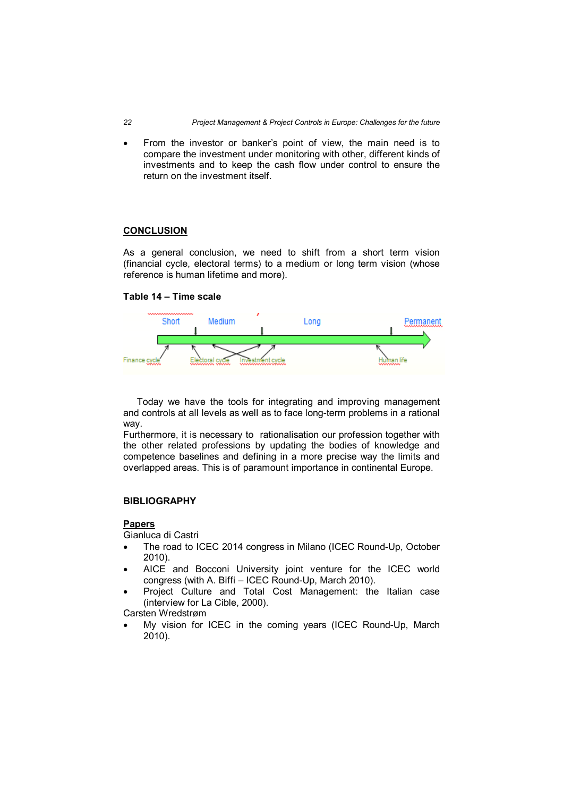From the investor or banker's point of view, the main need is to compare the investment under monitoring with other, different kinds of investments and to keep the cash flow under control to ensure the return on the investment itself.

## **CONCLUSION**

As a general conclusion, we need to shift from a short term vision (financial cycle, electoral terms) to a medium or long term vision (whose reference is human lifetime and more).

## **Table 14 – Time scale**



 Today we have the tools for integrating and improving management and controls at all levels as well as to face long-term problems in a rational way.

Furthermore, it is necessary to rationalisation our profession together with the other related professions by updating the bodies of knowledge and competence baselines and defining in a more precise way the limits and overlapped areas. This is of paramount importance in continental Europe.

#### **BIBLIOGRAPHY**

#### **Papers**

Gianluca di Castri

- The road to ICEC 2014 congress in Milano (ICEC Round-Up, October 2010).
- AICE and Bocconi University joint venture for the ICEC world congress (with A. Biffi – ICEC Round-Up, March 2010).
- Project Culture and Total Cost Management: the Italian case (interview for La Cible, 2000).

Carsten Wredstrøm

 My vision for ICEC in the coming years (ICEC Round-Up, March 2010).